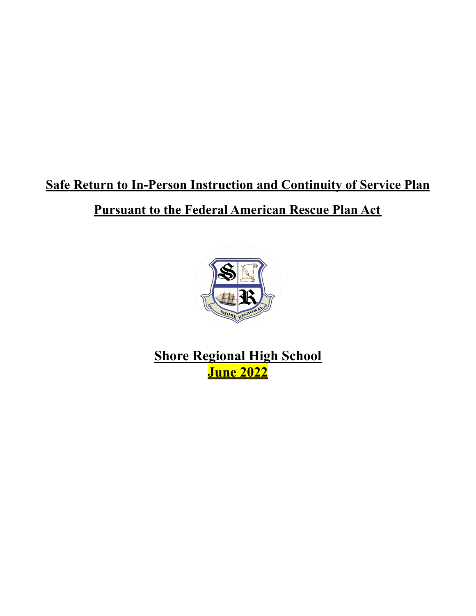# **Safe Return to In-Person Instruction and Continuity of Service Plan Pursuant to the Federal American Rescue Plan Act**



**Shore Regional High School June 2022**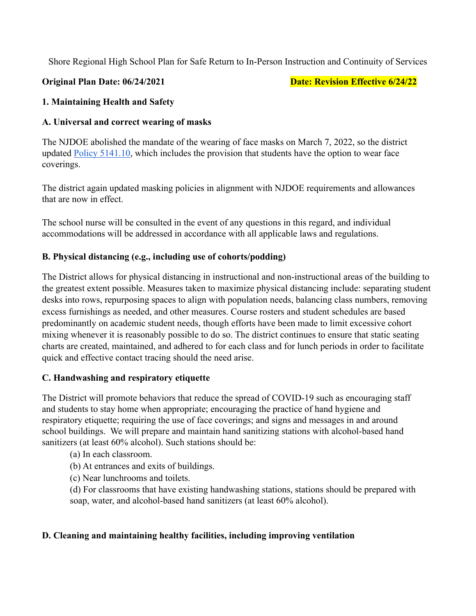Shore Regional High School Plan for Safe Return to In-Person Instruction and Continuity of Services

**Original Plan Date: 06/24/2021 Date: Department Plan Date: Revision Effective 6/24/22** 

#### **1. Maintaining Health and Safety**

#### **A. Universal and correct wearing of masks**

The NJDOE abolished the mandate of the wearing of face masks on March 7, 2022, so the district updated [Policy 5141.10,](https://www.wlbschools.com/site/handlers/filedownload.ashx?moduleinstanceid=550&dataid=8066&FileName=5141.10.pdf) which includes the provision that students have the option to wear face coverings.

The district again updated masking policies in alignment with NJDOE requirements and allowances that are now in effect.

The school nurse will be consulted in the event of any questions in this regard, and individual accommodations will be addressed in accordance with all applicable laws and regulations.

#### **B. Physical distancing (e.g., including use of cohorts/podding)**

The District allows for physical distancing in instructional and non-instructional areas of the building to the greatest extent possible. Measures taken to maximize physical distancing include: separating student desks into rows, repurposing spaces to align with population needs, balancing class numbers, removing excess furnishings as needed, and other measures. Course rosters and student schedules are based predominantly on academic student needs, though efforts have been made to limit excessive cohort mixing whenever it is reasonably possible to do so. The district continues to ensure that static seating charts are created, maintained, and adhered to for each class and for lunch periods in order to facilitate quick and effective contact tracing should the need arise.

#### **C. Handwashing and respiratory etiquette**

The District will promote behaviors that reduce the spread of COVID-19 such as encouraging staff and students to stay home when appropriate; encouraging the practice of hand hygiene and respiratory etiquette; requiring the use of face coverings; and signs and messages in and around school buildings. We will prepare and maintain hand sanitizing stations with alcohol-based hand sanitizers (at least 60% alcohol). Such stations should be:

(a) In each classroom.

(b) At entrances and exits of buildings.

(c) Near lunchrooms and toilets.

(d) For classrooms that have existing handwashing stations, stations should be prepared with soap, water, and alcohol-based hand sanitizers (at least 60% alcohol).

#### **D. Cleaning and maintaining healthy facilities, including improving ventilation**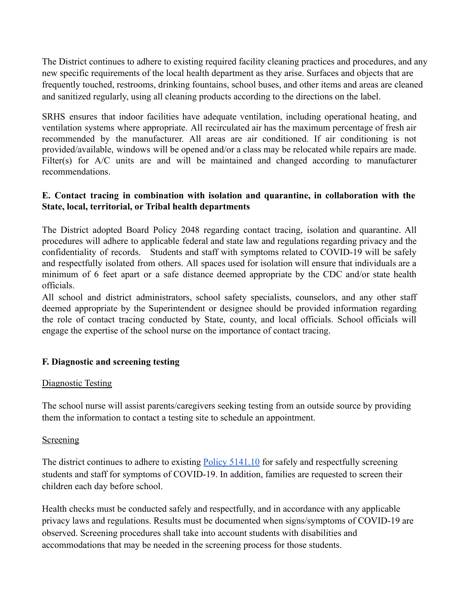The District continues to adhere to existing required facility cleaning practices and procedures, and any new specific requirements of the local health department as they arise. Surfaces and objects that are frequently touched, restrooms, drinking fountains, school buses, and other items and areas are cleaned and sanitized regularly, using all cleaning products according to the directions on the label.

SRHS ensures that indoor facilities have adequate ventilation, including operational heating, and ventilation systems where appropriate. All recirculated air has the maximum percentage of fresh air recommended by the manufacturer. All areas are air conditioned. If air conditioning is not provided/available, windows will be opened and/or a class may be relocated while repairs are made. Filter(s) for A/C units are and will be maintained and changed according to manufacturer recommendations.

#### **E. Contact tracing in combination with isolation and quarantine, in collaboration with the State, local, territorial, or Tribal health departments**

The District adopted Board Policy 2048 regarding contact tracing, isolation and quarantine. All procedures will adhere to applicable federal and state law and regulations regarding privacy and the confidentiality of records. Students and staff with symptoms related to COVID-19 will be safely and respectfully isolated from others. All spaces used for isolation will ensure that individuals are a minimum of 6 feet apart or a safe distance deemed appropriate by the CDC and/or state health officials.

All school and district administrators, school safety specialists, counselors, and any other staff deemed appropriate by the Superintendent or designee should be provided information regarding the role of contact tracing conducted by State, county, and local officials. School officials will engage the expertise of the school nurse on the importance of contact tracing.

#### **F. Diagnostic and screening testing**

#### Diagnostic Testing

The school nurse will assist parents/caregivers seeking testing from an outside source by providing them the information to contact a testing site to schedule an appointment.

#### Screening

The district continues to adhere to existing Policy [5141.10](https://www.wlbschools.com/site/handlers/filedownload.ashx?moduleinstanceid=550&dataid=8066&FileName=5141.10.pdf) for safely and respectfully screening students and staff for symptoms of COVID-19. In addition, families are requested to screen their children each day before school.

Health checks must be conducted safely and respectfully, and in accordance with any applicable privacy laws and regulations. Results must be documented when signs/symptoms of COVID-19 are observed. Screening procedures shall take into account students with disabilities and accommodations that may be needed in the screening process for those students.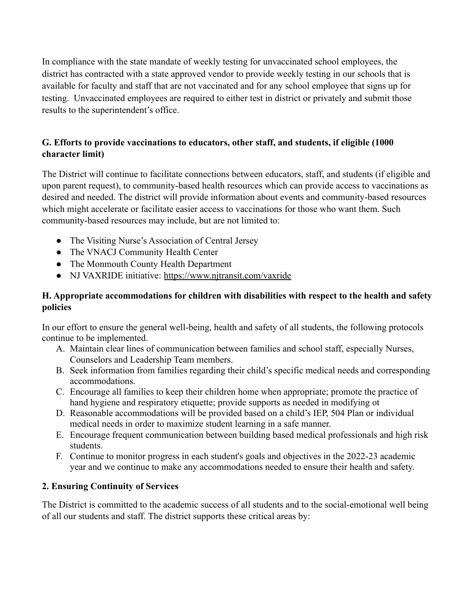In compliance with the state mandate of weekly testing for unvaccinated school employees, the district has contracted with a state approved vendor to provide weekly testing in our schools that is available for faculty and staff that are not vaccinated and for any school employee that signs up for testing. Unvaccinated employees are required to either test in district or privately and submit those results to the superintendent's office.

### **G. Efforts to provide vaccinations to educators, other staff, and students, if eligible (1000 character limit)**

The District will continue to facilitate connections between educators, staff, and students (if eligible and upon parent request), to community-based health resources which can provide access to vaccinations as desired and needed. The district will provide information about events and community-based resources which might accelerate or facilitate easier access to vaccinations for those who want them. Such community-based resources may include, but are not limited to:

- The Visiting Nurse's Association of Central Jersey
- The VNACJ Community Health Center
- The Monmouth County Health Department
- NJ VAXRIDE initiative: <https://www.njtransit.com/vaxride>

### **H. Appropriate accommodations for children with disabilities with respect to the health and safety policies**

In our effort to ensure the general well-being, health and safety of all students, the following protocols continue to be implemented.

- A. Maintain clear lines of communication between families and school staff, especially Nurses, Counselors and Leadership Team members.
- B. Seek information from families regarding their child's specific medical needs and corresponding accommodations.
- C. Encourage all families to keep their children home when appropriate; promote the practice of hand hygiene and respiratory etiquette; provide supports as needed in modifying ot
- D. Reasonable accommodations will be provided based on a child's IEP, 504 Plan or individual medical needs in order to maximize student learning in a safe manner.
- E. Encourage frequent communication between building based medical professionals and high risk students.
- F. Continue to monitor progress in each student's goals and objectives in the 2022-23 academic year and we continue to make any accommodations needed to ensure their health and safety.

## **2. Ensuring Continuity of Services**

The District is committed to the academic success of all students and to the social-emotional well being of all our students and staff. The district supports these critical areas by: